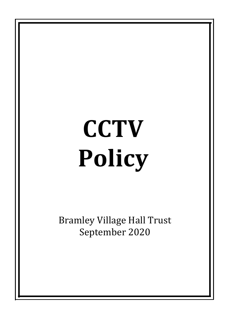# **CCTV Policy**

**Bramley Village Hall Trust** September 2020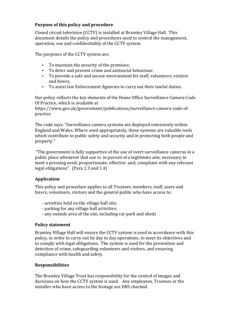## **Purpose of this policy and procedure**

Closed circuit television (CCTV) is installed at Bramley Village Hall. This document details the policy and procedures used to control the management, operation, use and confidentiality of the CCTV system.

The purposes of the CCTV system are:

- To maintain the security of the premises;
- To deter and prevent crime and antisocial behaviour;
- To provide a safe and secure environment for staff, volunteers, visitors and hirers:
- To assist law Enforcement Agencies to carry out their lawful duties.

Our policy reflects the key elements of the Home Office Surveillance Camera Code Of Practice, which is available at

https://www.gov.uk/government/publications/surveillance-camera-code-ofpractice 

The code says: "Surveillance camera systems are deployed extensively within England and Wales. Where used appropriately, these systems are valuable tools which contribute to public safety and security and in protecting both people and property." 

"The government is fully supportive of the use of overt surveillance cameras in a public place whenever that use is: in pursuit of a legitimate aim; necessary to meet a pressing need; proportionate; effective .and; compliant with any relevant legal obligations". (Para  $1.3$  and  $1.4$ )

# **Application**

This policy and procedure applies to all Trustees, members, staff, users and hirers, volunteers, visitors and the general public who have access to:

- activities held on the village hall site;
- parking for any village hall activities:
- any outside area of the site, including car park and sheds

### **Policy statement**

Bramley Village Hall will ensure the CCTV system is used in accordance with this policy, in order to carry out its day to day operations, to meet its objectives and to comply with legal obligations. The system is used for the prevention and detection of crime, safeguarding volunteers and visitors, and ensuring compliance with health and safety.

### **Responsibilities**

The Bramley Village Trust has responsibility for the control of images and decisions on how the CCTV system is used. Any employees, Trustees or the installer who have access to the footage are DBS checked.